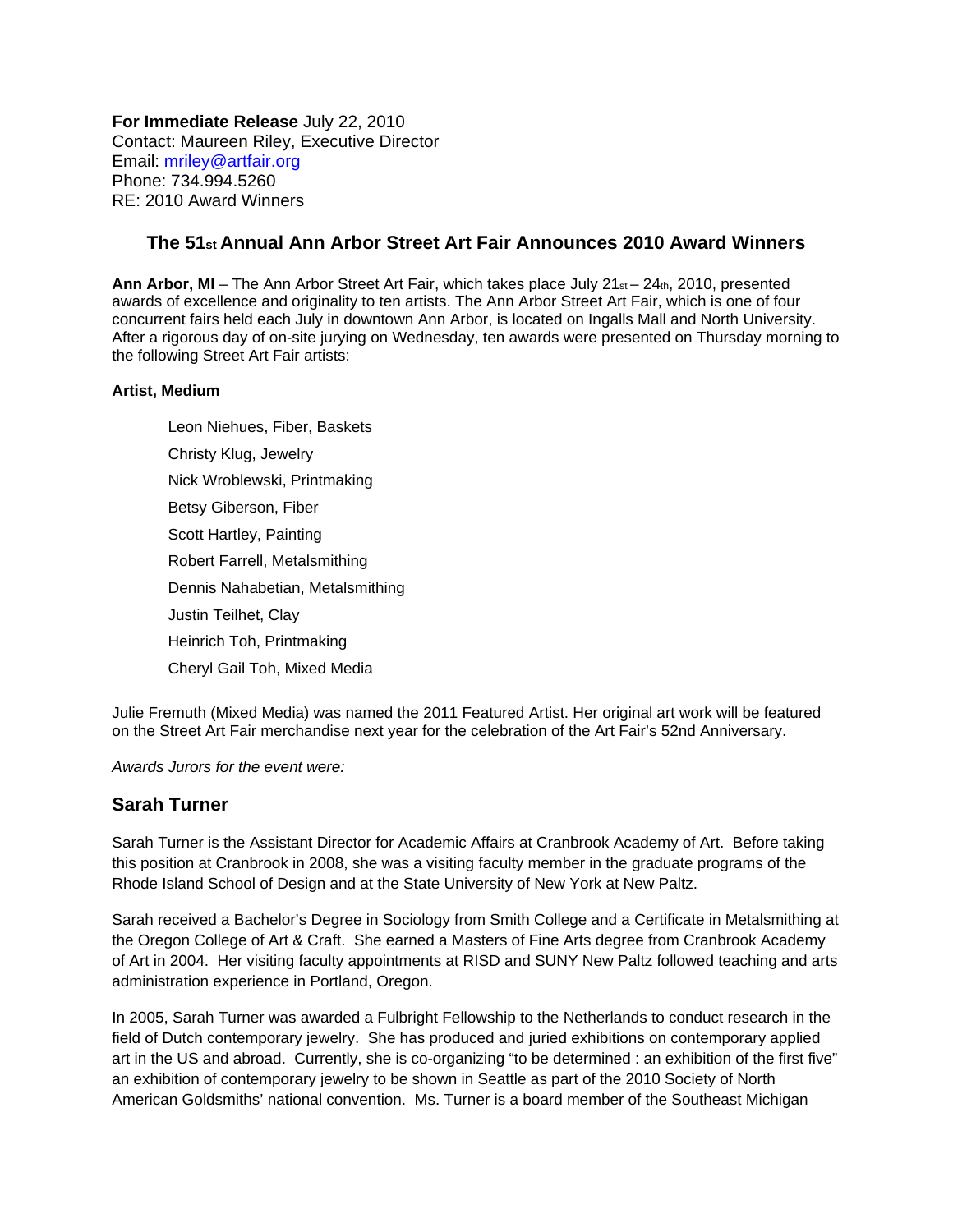**For Immediate Release** July 22, 2010 Contact: Maureen Riley, Executive Director Email: mriley@artfair.org Phone: 734.994.5260 RE: 2010 Award Winners

## **The 51st Annual Ann Arbor Street Art Fair Announces 2010 Award Winners**

**Ann Arbor, MI** – The Ann Arbor Street Art Fair, which takes place July 21<sub>st</sub> – 24th, 2010, presented awards of excellence and originality to ten artists. The Ann Arbor Street Art Fair, which is one of four concurrent fairs held each July in downtown Ann Arbor, is located on Ingalls Mall and North University. After a rigorous day of on-site jurying on Wednesday, ten awards were presented on Thursday morning to the following Street Art Fair artists:

## **Artist, Medium**

[Leon Niehues,](http://www.leonniehues.com/) Fiber, Baskets [Christy Klug,](http://www.christyklug.com/) Jewelry [Nick Wroblewski](http://www.nickwroblewski.com/), Printmaking [Betsy Giberson](http://www.artfair.org/tools/artist/artistDetail.jsp?id=1208&year=2010&mediaType=all&sortBy=lastname), Fiber [Scott Hartley](http://scotthartleywatercolors.com/), Painting [Robert Farrell](http://www.farrellsilver.com/), Metalsmithing [Dennis Nahabetian](http://www.artfair.org/tools/artist/artistDetail.jsp?id=1228&year=2010&mediaType=all&sortBy=lastname), Metalsmithing [Justin Teilhet,](http://www.artfair.org/tools/artist/artistDetail.jsp?id=1314&year=2010&mediaType=all&sortBy=lastname) Clay [Heinrich Toh,](http://www.heinrichtoh.com/) Printmaking [Cheryl Gail Toh](http://www.cheryltoh.com/), Mixed Media

Julie Fremuth (Mixed Media) was named the 2011 Featured Artist. Her original art work will be featured on the Street Art Fair merchandise next year for the celebration of the Art Fair's 52nd Anniversary.

*Awards Jurors for the event were:* 

## **Sarah Turner**

Sarah Turner is the Assistant Director for Academic Affairs at Cranbrook Academy of Art. Before taking this position at Cranbrook in 2008, she was a visiting faculty member in the graduate programs of the Rhode Island School of Design and at the State University of New York at New Paltz.

Sarah received a Bachelor's Degree in Sociology from Smith College and a Certificate in Metalsmithing at the Oregon College of Art & Craft. She earned a Masters of Fine Arts degree from Cranbrook Academy of Art in 2004. Her visiting faculty appointments at RISD and SUNY New Paltz followed teaching and arts administration experience in Portland, Oregon.

In 2005, Sarah Turner was awarded a Fulbright Fellowship to the Netherlands to conduct research in the field of Dutch contemporary jewelry. She has produced and juried exhibitions on contemporary applied art in the US and abroad. Currently, she is co-organizing "to be determined : an exhibition of the first five" an exhibition of contemporary jewelry to be shown in Seattle as part of the 2010 Society of North American Goldsmiths' national convention. Ms. Turner is a board member of the Southeast Michigan